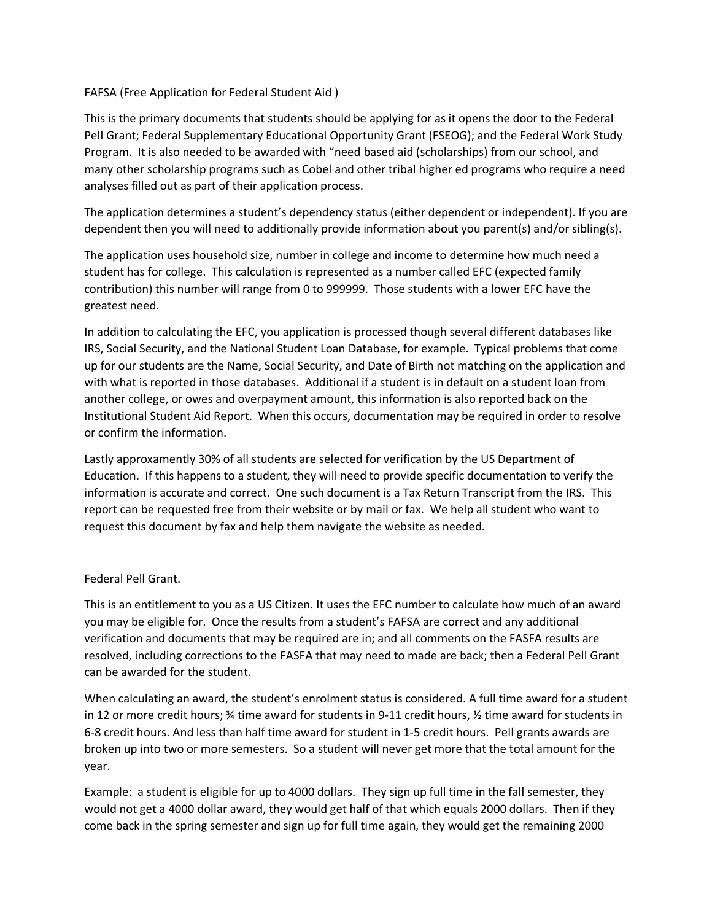### FAFSA (Free Application for Federal Student Aid )

This is the primary documents that students should be applying for as it opens the door to the Federal Pell Grant; Federal Supplementary Educational Opportunity Grant (FSEOG); and the Federal Work Study Program. It is also needed to be awarded with "need based aid (scholarships) from our school, and many other scholarship programs such as Cobel and other tribal higher ed programs who require a need analyses filled out as part of their application process.

The application determines a student's dependency status (either dependent or independent). If you are dependent then you will need to additionally provide information about you parent(s) and/or sibling(s).

The application uses household size, number in college and income to determine how much need a student has for college. This calculation is represented as a number called EFC (expected family contribution) this number will range from 0 to 999999. Those students with a lower EFC have the greatest need.

In addition to calculating the EFC, you application is processed though several different databases like IRS, Social Security, and the National Student Loan Database, for example. Typical problems that come up for our students are the Name, Social Security, and Date of Birth not matching on the application and with what is reported in those databases. Additional if a student is in default on a student loan from another college, or owes and overpayment amount, this information is also reported back on the Institutional Student Aid Report. When this occurs, documentation may be required in order to resolve or confirm the information.

Lastly approxamently 30% of all students are selected for verification by the US Department of Education. If this happens to a student, they will need to provide specific documentation to verify the information is accurate and correct. One such document is a Tax Return Transcript from the IRS. This report can be requested free from their website or by mail or fax. We help all student who want to request this document by fax and help them navigate the website as needed.

# Federal Pell Grant.

This is an entitlement to you as a US Citizen. It uses the EFC number to calculate how much of an award you may be eligible for. Once the results from a student's FAFSA are correct and any additional verification and documents that may be required are in; and all comments on the FASFA results are resolved, including corrections to the FASFA that may need to made are back; then a Federal Pell Grant can be awarded for the student.

When calculating an award, the student's enrolment status is considered. A full time award for a student in 12 or more credit hours; ¾ time award for students in 9-11 credit hours, ½ time award for students in 6-8 credit hours. And less than half time award for student in 1-5 credit hours. Pell grants awards are broken up into two or more semesters. So a student will never get more that the total amount for the year.

Example: a student is eligible for up to 4000 dollars. They sign up full time in the fall semester, they would not get a 4000 dollar award, they would get half of that which equals 2000 dollars. Then if they come back in the spring semester and sign up for full time again, they would get the remaining 2000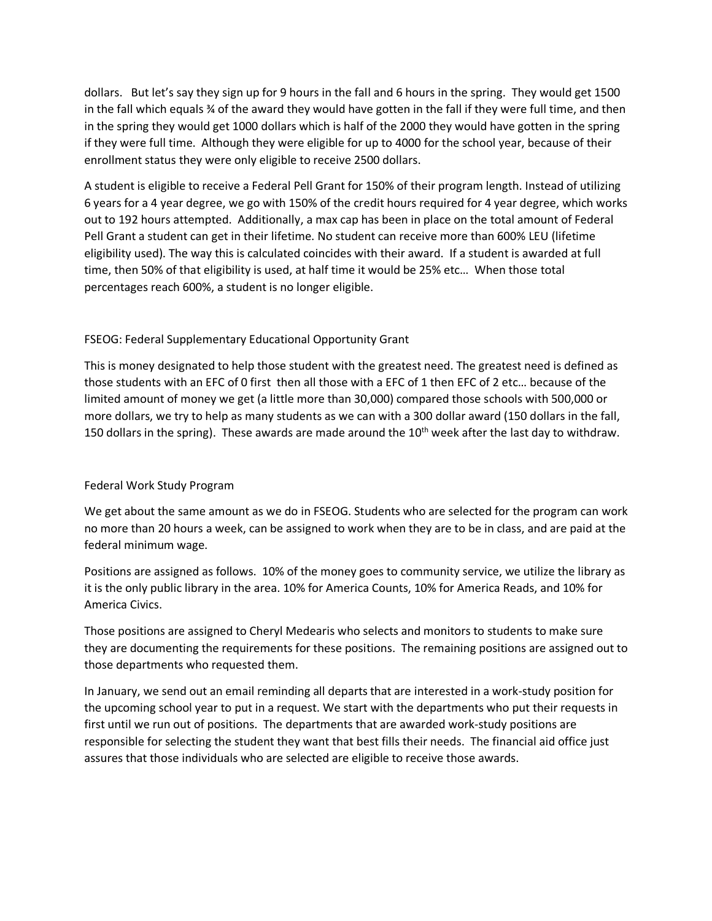dollars. But let's say they sign up for 9 hours in the fall and 6 hours in the spring. They would get 1500 in the fall which equals ¾ of the award they would have gotten in the fall if they were full time, and then in the spring they would get 1000 dollars which is half of the 2000 they would have gotten in the spring if they were full time. Although they were eligible for up to 4000 for the school year, because of their enrollment status they were only eligible to receive 2500 dollars.

A student is eligible to receive a Federal Pell Grant for 150% of their program length. Instead of utilizing 6 years for a 4 year degree, we go with 150% of the credit hours required for 4 year degree, which works out to 192 hours attempted. Additionally, a max cap has been in place on the total amount of Federal Pell Grant a student can get in their lifetime. No student can receive more than 600% LEU (lifetime eligibility used). The way this is calculated coincides with their award. If a student is awarded at full time, then 50% of that eligibility is used, at half time it would be 25% etc… When those total percentages reach 600%, a student is no longer eligible.

## FSEOG: Federal Supplementary Educational Opportunity Grant

This is money designated to help those student with the greatest need. The greatest need is defined as those students with an EFC of 0 first then all those with a EFC of 1 then EFC of 2 etc… because of the limited amount of money we get (a little more than 30,000) compared those schools with 500,000 or more dollars, we try to help as many students as we can with a 300 dollar award (150 dollars in the fall, 150 dollars in the spring). These awards are made around the  $10<sup>th</sup>$  week after the last day to withdraw.

### Federal Work Study Program

We get about the same amount as we do in FSEOG. Students who are selected for the program can work no more than 20 hours a week, can be assigned to work when they are to be in class, and are paid at the federal minimum wage.

Positions are assigned as follows. 10% of the money goes to community service, we utilize the library as it is the only public library in the area. 10% for America Counts, 10% for America Reads, and 10% for America Civics.

Those positions are assigned to Cheryl Medearis who selects and monitors to students to make sure they are documenting the requirements for these positions. The remaining positions are assigned out to those departments who requested them.

In January, we send out an email reminding all departs that are interested in a work-study position for the upcoming school year to put in a request. We start with the departments who put their requests in first until we run out of positions. The departments that are awarded work-study positions are responsible for selecting the student they want that best fills their needs. The financial aid office just assures that those individuals who are selected are eligible to receive those awards.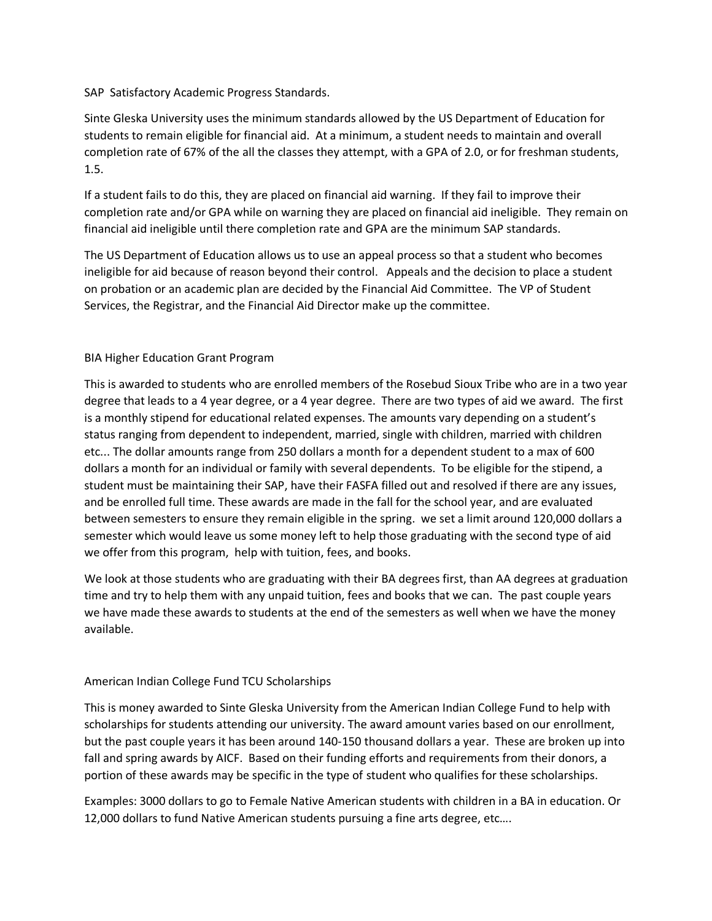### SAP Satisfactory Academic Progress Standards.

Sinte Gleska University uses the minimum standards allowed by the US Department of Education for students to remain eligible for financial aid. At a minimum, a student needs to maintain and overall completion rate of 67% of the all the classes they attempt, with a GPA of 2.0, or for freshman students, 1.5.

If a student fails to do this, they are placed on financial aid warning. If they fail to improve their completion rate and/or GPA while on warning they are placed on financial aid ineligible. They remain on financial aid ineligible until there completion rate and GPA are the minimum SAP standards.

The US Department of Education allows us to use an appeal process so that a student who becomes ineligible for aid because of reason beyond their control. Appeals and the decision to place a student on probation or an academic plan are decided by the Financial Aid Committee. The VP of Student Services, the Registrar, and the Financial Aid Director make up the committee.

## BIA Higher Education Grant Program

This is awarded to students who are enrolled members of the Rosebud Sioux Tribe who are in a two year degree that leads to a 4 year degree, or a 4 year degree. There are two types of aid we award. The first is a monthly stipend for educational related expenses. The amounts vary depending on a student's status ranging from dependent to independent, married, single with children, married with children etc... The dollar amounts range from 250 dollars a month for a dependent student to a max of 600 dollars a month for an individual or family with several dependents. To be eligible for the stipend, a student must be maintaining their SAP, have their FASFA filled out and resolved if there are any issues, and be enrolled full time. These awards are made in the fall for the school year, and are evaluated between semesters to ensure they remain eligible in the spring. we set a limit around 120,000 dollars a semester which would leave us some money left to help those graduating with the second type of aid we offer from this program, help with tuition, fees, and books.

We look at those students who are graduating with their BA degrees first, than AA degrees at graduation time and try to help them with any unpaid tuition, fees and books that we can. The past couple years we have made these awards to students at the end of the semesters as well when we have the money available.

# American Indian College Fund TCU Scholarships

This is money awarded to Sinte Gleska University from the American Indian College Fund to help with scholarships for students attending our university. The award amount varies based on our enrollment, but the past couple years it has been around 140-150 thousand dollars a year. These are broken up into fall and spring awards by AICF. Based on their funding efforts and requirements from their donors, a portion of these awards may be specific in the type of student who qualifies for these scholarships.

Examples: 3000 dollars to go to Female Native American students with children in a BA in education. Or 12,000 dollars to fund Native American students pursuing a fine arts degree, etc….